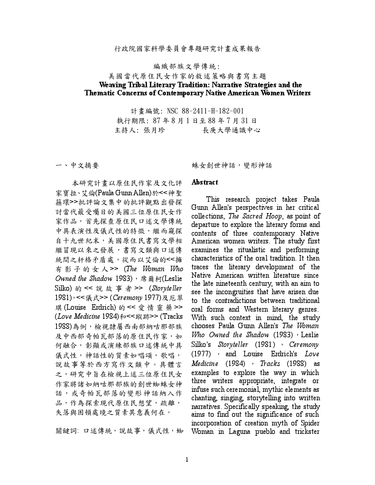## 行政院國家科學委員會專題研究計畫成果報告

## 編織部族文學傳統:

## 美國當代原住民女作家的敘述策略與書寫主題 Weaving Tribal Literary Tradition: Narrative Strategies and the Thematic Concerns of Contemporary Native American Women Writers

計畫編號: NSC 88-2411-H-182-001 執行期限: 87年8月1日至88年7月31日 主持人: 張月珍 長庚大學通識中心

一、中文摘要

本研究計書以原住民作家及文化評 家寶拉、艾倫(Paula Gunn Allen)於<<神聖 箍環>>批評論文集中的批評觀點出發探 討當代最受囑目的美國三位原住民女作 家作品,首先探查原住民口述文學傳統 中具表演性及儀式性的特徵,繼而窺探 自十九世紀末,美國原住民書寫文學相 繼冒現以來之發展,書寫文類與口述傳 統間之杆格矛盾處,從而以艾倫的<<擁 有影子的女人>> (The Woman Who Owned the Shadow 1983),  $\bar{\pi}$   $\bar{\mu}$   $\bar{\eta}$  (Leslie Silko) 的 << 說 故 事 者 >> (Storyteller 1981), << 儀式>> (Ceremony 1977)及厄翠 琪 (Louise Erdrich) 的 << 愛 情 靈 藥 >> (Love Medicine 1984)和<<蹤跡>>(Tracks 1988)為例,檢視隸屬西南部納咕那部族 及中西部奇帕瓦部落的原住民作家,如 何融合,彰顯或演練部族口述傳統中具 儀式性,神話性的質素如唱頌,歌唱, 說故事等於西方寫作文類中。具體言 之,研究中旨在檢視上述三位原住民女 作家將諸如納咕那部族的創世蜘蛛女神 話,或奇帕瓦部落的變形神話納入作 品,作為探索現代原住民想望,疏離, 失落與困頓處境之質素其意義何在。

關鍵詞: 口述傳統,說故事,儀式性,蜘

蛛女創世神話, 變形神話

## Abstract

This research project takes Paula Gunn Allen's perspectives in her critical collections, The Sacred Hoop, as point of departure to explore the literary forms and contents of three contemporary Native American women writers. The study first examines the ritualistic and performing characteristics of the oral tradition. It then traces the literary development of the Native American written literature since the late nineteenth century, with an aim to see the incongruities that have arisen due to the contradictions between traditional oral forms and Western literary genres. With such context in mind, the study chooses Paula Gunn Allen's The Woman Who Owned the Shadow  $(1983)$ , Leslie Silko's Storyteller  $(1981)$ , Ceremony (1977) , and Louise Erdrich's Love Medicine (1984) · Tracks (1988) as examples to explore the way in which three writers appropriate, integrate or infuse such ceremonial, mythic elements as chanting, singing, storytelling into written narratives. Specifically speaking, the study aims to find out the significance of such incorporation of creation myth of Spider Woman in Laguna pueblo and trickster

 $\mathbf{1}$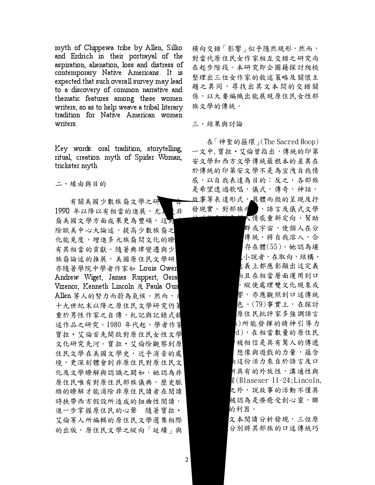myth of Chippewa tribe by Allen, Silko and Erdrich in their portrayal of the aspiration, alienation, loss and distress of contemporary Native Americans. It is expected that such overall survey may lead to a discovery of common narrative and thematic features among these women writers, so as to help weave a tribal literary tradition for Native American women writers.

Key words: oral tradition, storytelling, ritual, creation myth of Spider Woman, trickster myth

二、緣由與目的

有關美國少數族裔文學之研 1990年以降以有相當的進展,尤 ま 裔美國文學方面成果更為豐碩,這對 除歐美中心大論述,提高少數族裔之 化能見度,增進多元族裔間文化的瞭 有其相當的貢獻。隨著典律變遷與少 族裔論述的推展,美國原住民文學研 亦隨著學院中學者作家如 Louis Ower Andrew Wiget, James Ruppert, Geral Vizenor, Kenneth Lincoln & Paula Gun Allen 等人的努力而蔚為氣候。然而, 十九世紀末以降之原住民文學研究仍第 重於男性作家之自傳, 札記與記錄式敘 述作品之研究。1980年代起,學者作家 寶拉·艾倫首先開啟對原住民女性文學 文化研究先河。寶拉·艾倫除觀察到原 住民文學在美國文學史,近乎消音的處 境,更深刻體會到非原住民對原住民文 化及文學瞭解與認識之闕如,她認為非 原住民唯有對原住民部族儀典,歷史脈 絡的瞭解才能消除非原住民讀者在閱讀 時挾帶西方假設所造成的扭曲性閱讀, 進一步掌握原住民的心聲 隨著寶拉· 艾倫等人所編輯的原住民文學選集相際 的出版,原住民文學之縱向「延續」與

横向交錯「影響」似乎隱然現形,然而, 對當代原住民女作家相互交錯之研究尚 在起步階段。本研究即企圖藉探討爬梳 整理出三位女作家的敘述策略及關懷主 題之異同,尋找出其文本間的交錯關 係,以大要編織出能展現原住民女性部 族文學的傳統。

三、結果與討論

在「神聖的箍環」(The Sacred Hoop) 一文中, 寶拉 · 艾倫曾指出, 傳統的印第 安文學和西方文學傳統最根本的差異在 於傳統的印第安文學不是為宣洩自我情 感,以自我表達為目的;反之,各部族 是希望透過歌唱,儀式,傳奇,神話, 故事等表達形式,具體而微的呈現及抒 發現實。對部族币 ,語言及儀式文學

> 人情感重新定向,幫助 群或宇宙,使個人在分 傳統,將自我溶入,合 存在體(55)。她認為堪 小說者,在取向,結構, 表主都應彰顯出這定義 市且在相當層面運用到口 ,縱使處理雙文化現象或 響,亦應觀照到口述傳統 色。(79)事實上,在探討 原住民批評家多強調語言 s)所能發揮的精神引導力 d),在相當數量的原住民 被相信是具有驚人的傳遞 想像與遊戲的力量,蘊含 市這份活力來自於語言及口 斤具有的外放性,溝通性與 賃(Blaseser 11-24;Lincoln, 之外,說故事的活動不僅具 被認為是療癒受創心靈,聯 的利器。 文本閱讀分析發現,三位原 分別將其部族的口述傳統巧

 $2^{\circ}$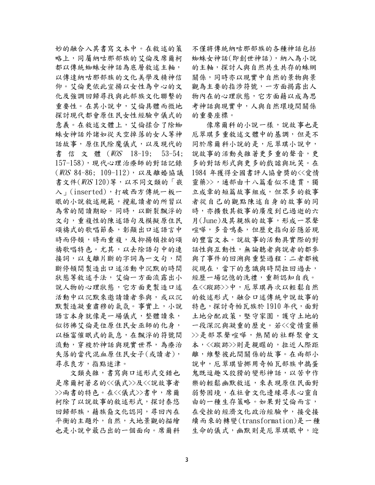妙的融合入其書寫文本中。在敘述的策 略上,同屬納咕那部族的艾倫及席爾柯 都以傳統蜘蛛女神話為底層敘述主軸, 以傳達納咕那部族的文化美學及精神信 仰。艾倫更依此宣揚以女性為中心的文 化及強調回歸尋找與此部族文化聯繫的 重要性。在其小說中,艾倫具體而微地 探討現代都會原住民女性經驗中儀式的 意義。在敘述文體上,艾倫揉合了除蜘 蛛女神話外諸如從天空掉落的女人等神 話故事,原住民除魔儀式,以及現代的 書信文體 (WOS 18-19; 53-54; 157-158),現代心理治療師的對話記錄 (WOS 84-86: 109-112), 以及離婚協議 書文件(WOS 120) 等, 以不同文類的「嵌 入 (inserted), 打破西方傳統一板一 眼的小說敘述規範,攪亂讀者的所習以 為常的閱讀期盼。同時,以斷裂飄浮的 文句,重複性的陳述語句及模擬原住民 頌禱式的歌唱節奏,彰顯出口述語言中 時而停頓,時而重複,及抑揚頓挫的頌 禱歌唱特色。尤其,以去除語句中的連 接詞,以支離片斷的字詞為一文句,間 斷停頓間製造出口述活動中沉默的時間 狀態等敘述手法,艾倫一方面流露出小 說人物的心理狀態,它方面更製造口述 活動中以沉默來邀請讀者參與,或以沉 默製造凝重肅穆的氣氛。事實上,小說 語言本身就像是一場儀式,整體讀來, 似彷彿艾倫是位原住民女巫師的化身, 以極富催眠式的氣息,在飄浮的符號間 流動,穿梭於神話與現實世界,為療治 失落的當代混血原住民女子(或讀者), 尋求良方,指點迷津。

文類夾雜,書寫與口述形式交錯也 是席爾柯著名的<<儀式>>及<<說故事者 >>兩書的特色。在<<儀式>>書中,席爾 柯除了以說故事的敘述形式,探討泰悠 回歸部族,藉族裔文化認同,尋回內在 平衡的主題外,自然,大地景觀的描繪 也是小說中最凸出的一個面向。席爾科 不僅將傳統納咕那部族的各種神話包括 蜘蛛女神話(即創世神話),納入為小說 的主軸,探討人與自然共生共存的蛛網 關係,同時亦以現實中自然的景物與景 觀為主要的指涉符號,一方面揭露出人 物內在的心理狀態,它方面藉以成為思 考神話與現實中,人與自然環境間關係 的重要座標。

像席爾科的小說一樣,說故事也是 厄翠琪多重敘述文體中的基調,但是不 同於席爾科小說的是,厄翠琪小說中, 說故事的活動夾雜著更多重的聲音,更 多的對話形式與更多的戲謔與玩笑。在 1984 年獲得全國書評人協會獎的<<愛情 靈藥>>,通部由十八篇看似不連貫,獨 立成章的短篇故事組成,但眾多的敘事 者從自己的觀點陳述自身的故事的同 時,亦擴散其敘事的廣度到已過逝的六 月(June)及其親族的故事,形成一眾聲 喧嘩,多音鳴奏,但歷史指向若隱若現 的豐富文本。說故事的活動具實際的對 話性與互動性,無論聽者與說者的都參 與了事件的回溯與重整過程;二者都被 從現在,當下的意識與時間拉回過去, 經歷一場記憶的洗禮,重新認知自我。 在<<蹤跡>>中,厄翠琪再次以輕鬆自然 的敘述形式,融合口述傳統中說故事的 特色,探討奇帕瓦族於1910年代,面對 土地分配政策, 堅守家園, 護守土地的 一段深沉與凝重的歷史。若<<愛情靈藥 >>是部眾聲喧嘩,熱鬧的社群聚會文 本,<<蹤跡>>則是親暱的,拉近人際距 離,維繫彼此間關係的故事。在兩部小 說中,厄翠琪皆挪用奇帕瓦部族中搗蛋 鬼既逗趣又狡猾的變形神話,以苦中作 樂的輕鬆幽默敘述,來表現原住民面對 弱勢困境,在社會文化邊緣尋求心靈自 由的一種生存策略。如果對艾倫而言, 在受挫的經濟文化政治經驗中,接受接 續而來的轉變(transformation)是一種 生命的儀式,幽默則是厄翠琪眼中,迎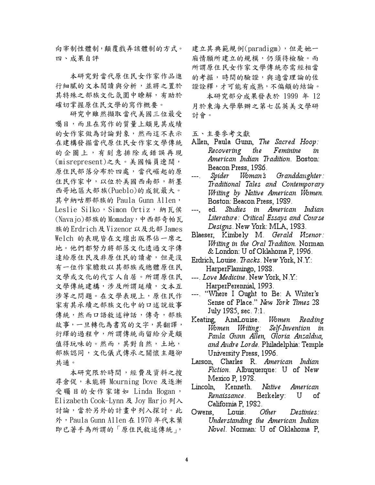向宰制性體制,顛覆戲弄該體制的方式。 四、成果自評

本研究對當代原住民女作家作品進 行細膩的文本閱讀與分析,並將之置於 其特殊之部族文化氛圍中瞭解,有助於 確切掌握原住民文學的寫作概要。

研究中雖然擷取當代美國三位最受 囑目,而且在寫作的質量上頗見其成績 的女作家做為討論對象,然而這不表示 在建構發掘當代原住民女作家文學傳統 的企圖上,有刻意排除或錯誤再現 (misrepresent)之失。美國幅員遼闊, 原住民部落分布於四處,當代崛起的原 住民作家中,以位於美國西南部,新墨 西哥地區大部族(Pueblo)的成就最大。 其中納咕那部族的 Paula Gunn Allen, Leslie Silko,Simon Ortiz,納瓦侯 (Navajo)部族的 Momaday, 中西部奇帕瓦 族的 Erdrich 及 Vizenor 以及北部 James Welch 的表現皆在文壇出版界佔一席之 地。他們都努力將部落文化透過文字傳 達給原住民及非原住民的讀者,但是沒 有一位作家膽敢以其部族或總體原住民 文學或文化的代言人自居。所謂原住民 文學傳統建構,涉及所謂延續,文本互 涉等之問題。在文學表現上,原住民作 家有其承續之部族文化中的口述說故事 傳統,然而口語敘述神話,傳奇,部族 故事,一旦轉化為書寫的文字,其翻譯, 衍繹的過程中,所謂傳統尚留給分是頗 值得玩味的。然而,其對自然,土地, 部族認同,文化儀式傳承之關懷主題卻 共通。

本研究限於時間,經費及資料之搜 尋倉促,未能將 Mourning Dove 及逐漸 受矚目的女作家諸如 Linda Hogan, Elizabeth Cook-Lynn 及 Joy Harjo 列入 討論,當於另外的計畫中列入探討。此 外, Paula Gunn Allen 在 1970年代末葉 即已著手為所謂的「原住民敘述傳統」,

建立其典範規例(paradigm), 但是她一 **廂情願所建立的規模,仍須待檢驗。而** 所謂原住民女作家文學傳統亦需經相當 的考掘,時間的驗證,與適當理論的佐 證詮釋,才可能有成熟,不偏頗的結論。

本研究部分成果發表於 1999 年 12 月於東海大學舉辦之第七屆英美文學研 討會。

五、主要參考文獻

- Allen, Paula Gunn, The Sacred Hoop: Recovering th e Feminine in American Indian Tradition. Boston: Beacon Press, 1986.
- Woman's Spider  $Granddaughter:$  $--- 1$ Traditional Tales and Contemporary Writing by Native American Women. Boston: Beacon Press, 1989.
- ed. Studies in American Indian  $---$ Literature: Critical Essays and Course Designs. New York: MLA, 1983.
- Blaeser, Kimbely M. Gerald Vizenor: Writing in the Oral Tradition. Norman & London: U of Oklahoma P, 1996.
- Erdrich, Louise. Tracks. New York, N.Y.: HarperFlamingo, 1988.
- ---. Love Medicine. New York, N.Y.: HarperPerennial, 1993.
- ---. "Where I Ought to Be: A Writer's Sense of Place." New York Times 28 July 1985, sec. 7:1.
- Keating. AnaLouise. Women Reading Women Writing: Self-Invention in Paula Gunn Allen, Gloria Anzaldua, and Audre Lorde. Philadelphia: Temple University Press, 1996.
- Larson, Charles R. American Indian *Fiction*. Albuquerque: U of New Mexico P, 1978.
- Lincoln, Kenneth. Native American Renaissance. Berkeley: U οf California P, 1982.
- Owens. Louis. *Other*  $D$ estinies: Understanding the American Indian *Novel*. Norman: U of Oklahoma P,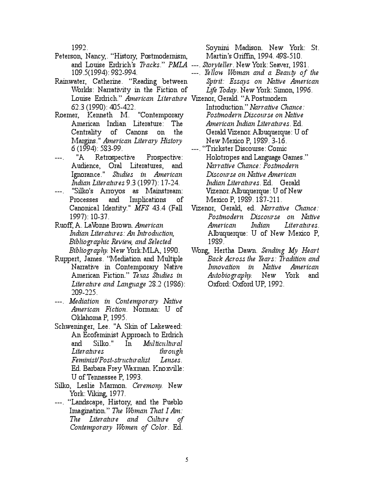1992.

- Peterson, Nancy,. "History, Postmodernism, and Louise Erdrich's *Tracks.'' PMLA ---. Storyteller* New York: Seaver, 1981. ' 109.5(1994): 982-994.
- Rainwater, Catherine. "Reading between Worlds: Narrativity in the Fiction of Louise Erdrich.'' *American Literature* Vizenor, Gerald. "A Postmodern 62.3 (1990): 405-422.
- Roemer, Kenneth M. "Contemporary American Indian Literature: The Centrality of Canons on the Margins." American Literary History 6 (1994): 583-99.
- ---. "A Retrospective Prospective: Audience, Oral Literatures, and Ignorance." Studies in American Indian Literatures 9.3 (1997): 17-24.
- ---. "Silko's Arroyos as Mainstream: Processes and Implications of Canonical Identity." MFS 43.4 (Fall 1997): 10-37.
- Ruoff, A. LaVonne Brown. American Indian Literatures: An Introduction, Bibliographic Review, and Selected Bibliography. New York:MLA, 1990.
- Ruppert, James. "Mediation and Multiple Narrative in Contemporary Native American Fiction." Texas Studies in Literature and Language 28.2 (1986): 209-225.
- ---. Mediation in Contemporary Native American Fiction. Norman: U of Oklahoma P, 1995.
- Schweninger, Lee. "A Skin of Lakeweed: An Ecofeminist Approach to Erdrich and Silko." In Multicultural Literatures through Feminist/Post-structuralist Lenses. Ed. Barbara Frey Waxman. Knoxville: U of Tennessee P, 1993.
- Silko, Leslie Marmon. Ceremony. New York: Viking, 1977.
- ---. "Landscape, History, and the Pueblo Imagination." The Woman That I Am: The Literature and Culture of Contemporary Women of Color. Ed.

Soynini Madison. New York: St. Martin's Griffin, 1994. 498-510.

- 
- ---. Yellow Woman and a Beauty of the Spirit: Essays on Native American Life Today. New York: Simon, 1996.
- Introduction." Narrative Chance: Postmodern Discourse on Native American Indian Literatures. Ed. Gerald Vizenor. Albuquerque: U of New Mexico P, 1989. 3-16.
- ---. "Trickster Discourse: Comic Holotropes and Language Games." Narrative Chance: Postmodern Discourse on Native American Indian Literatures. Ed. Gerald Vizenor. Albuquerque: U of New Mexico P, 1989. 187-211.
- Vizenor, Gerald, ed. Narrative Chance: Postmodern Discourse on Native American Indian Literatures. Albuquerque: U of New Mexico P, 1989.
- Wong, Hertha Dawn. Sending My Heart Back Across the Years: Tradition and Innovation in Native American Autobiography. New York and Oxford: Oxford UP, 1992.